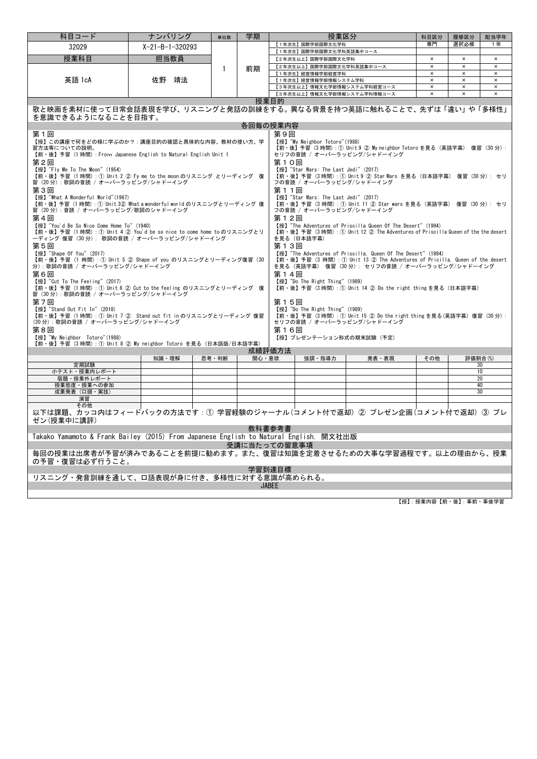| 科目コード                                                                                           | ナンバリング                                                               | 単位数   | 学期           |                                                                             | 授業区分                                 |                                                                                                                                              | 科目区分                       | 履修区分                       | 配当学年                       |  |
|-------------------------------------------------------------------------------------------------|----------------------------------------------------------------------|-------|--------------|-----------------------------------------------------------------------------|--------------------------------------|----------------------------------------------------------------------------------------------------------------------------------------------|----------------------------|----------------------------|----------------------------|--|
| 32029                                                                                           | $X - 21 - B - 1 - 320293$                                            |       |              |                                                                             | 【1年次生】国際学部国際文化学科                     |                                                                                                                                              | 専門                         | 選択必修                       | 1年                         |  |
| 授業科目                                                                                            | 担当教員                                                                 |       |              | 【1年次生】国際学部国際文化学科英語集中コース                                                     |                                      |                                                                                                                                              |                            |                            |                            |  |
|                                                                                                 |                                                                      |       |              |                                                                             | 【2年次生以上】国際学部国際文化学科                   |                                                                                                                                              | $\times$<br>$\pmb{\times}$ | $\times$<br>$\times$       | $\times$<br>$\pmb{\times}$ |  |
|                                                                                                 |                                                                      | 1     | 前期           | 【2年次生以上】国際学部国際文化学科英語集中コース<br>$\times$<br>$\pmb{\times}$<br>【1年次生】経営情報学部経営学科 |                                      |                                                                                                                                              |                            |                            |                            |  |
| 英語 1cA                                                                                          | 佐野<br>靖法                                                             |       |              |                                                                             | 【1年次生】経営情報学部情報システム学科                 | $\pmb{\times}$                                                                                                                               | $\times$                   | $\times$<br>$\pmb{\times}$ |                            |  |
|                                                                                                 |                                                                      |       |              |                                                                             |                                      | 【3年次生以上】情報文化学部情報システム学科経営コース                                                                                                                  | $\pmb{\times}$             | $\pmb{\times}$             | $\pmb{\times}$             |  |
|                                                                                                 |                                                                      |       |              |                                                                             |                                      | 【3年次生以上】情報文化学部情報システム学科情報コース                                                                                                                  | $\pmb{\times}$             | $\pmb{\times}$             | $\pmb{\times}$             |  |
| 授業目的                                                                                            |                                                                      |       |              |                                                                             |                                      |                                                                                                                                              |                            |                            |                            |  |
| 歌と映画を素材に使って日常会話表現を学び、リスニングと発話の訓練をする。異なる背景を持つ英語に触れることで、先ずは「違い」や「多様性」                             |                                                                      |       |              |                                                                             |                                      |                                                                                                                                              |                            |                            |                            |  |
| を意識できるようになることを目指す。                                                                              |                                                                      |       |              |                                                                             |                                      |                                                                                                                                              |                            |                            |                            |  |
|                                                                                                 |                                                                      |       |              | 各回毎の授業内容                                                                    |                                      |                                                                                                                                              |                            |                            |                            |  |
| 第1回                                                                                             |                                                                      |       |              | 第9回                                                                         |                                      |                                                                                                                                              |                            |                            |                            |  |
| 【授】この講座で何をどの様に学ぶのか?:講座目的の確認と具体的な内容、教材の使い方、学                                                     |                                                                      |       |              |                                                                             | 【授】"My Neighbor Totoro" (1988)       |                                                                                                                                              |                            |                            |                            |  |
| 習方法等についての説明。                                                                                    |                                                                      |       |              |                                                                             |                                      | 【前·後】予習 (3時間): ① Unit 9 ② My neighbor Totoro を見る (英語字幕) 復習 (30分):<br>セリフの音読 / オーバーラッピング/シャドーイング                                              |                            |                            |                            |  |
| 【前・後】予習 (1 時間) : From Japanese English to Natural English Unit 1                                |                                                                      |       |              |                                                                             |                                      |                                                                                                                                              |                            |                            |                            |  |
| 第2回                                                                                             |                                                                      |       |              | 第10回                                                                        |                                      |                                                                                                                                              |                            |                            |                            |  |
| 【授】"Fly Me To The Moon" (1954)<br>【前・後】予習 (1時間): ① Unit 2 2 Fy me to the moon のリスニング とリーディング 復  |                                                                      |       |              |                                                                             | 【授】"Star Wars: The Last Jedi" (2017) | 【前・後】予習 (3時間):① Unit 9 ② Star Wars を見る (日本語字幕) 復習 (30分): セリ                                                                                  |                            |                            |                            |  |
| 習(20 分): 歌詞の音読 / オーバーラッピング/シャドーイング                                                              |                                                                      |       |              |                                                                             | フの音読 / オーバーラッピング/シャドーイング             |                                                                                                                                              |                            |                            |                            |  |
| 第3回                                                                                             |                                                                      |       |              | 第11回                                                                        |                                      |                                                                                                                                              |                            |                            |                            |  |
| 【授】"What A Wonderful World"(1967)                                                               |                                                                      |       |              |                                                                             | 【授】"Star Wars: The Last Jedi" (2017) |                                                                                                                                              |                            |                            |                            |  |
| 【前・後】予習(1 時間): ① Unit 3② What a wonderful world のリスニングとリーディング 復                                 |                                                                      |       |              |                                                                             |                                      | 【前・後】予習(3 時間): ① Unit 11 ② Star wars を見る(英語字幕) 復習(30 分): セリ                                                                                  |                            |                            |                            |  |
| 習(20 分): 音読 / オーバーラッピング/歌詞のシャドーイング                                                              |                                                                      |       |              |                                                                             | フの音読 / オーバーラッピング/シャドーイング             |                                                                                                                                              |                            |                            |                            |  |
| 第4回                                                                                             |                                                                      |       |              | 第12回                                                                        |                                      |                                                                                                                                              |                            |                            |                            |  |
| 【授】"You'd Be So Nice Come Home To" (1940)                                                       |                                                                      |       |              |                                                                             |                                      | 【授】"The Adventures of Priscilla Queen Of The Desert" (1994)                                                                                  |                            |                            |                            |  |
| 【前・後】予習(1 時間): ① Unit 4 ② You'd be so nice to come home to のリスニングとリ                             |                                                                      |       |              |                                                                             |                                      | 【前·後】予習(3時間): ① Unit 12 ② The Adventures of Priscilla Queen of the the desert                                                                |                            |                            |                            |  |
| ーディング 復習(30分): 歌詞の音読 / オーバーラッピング/シャドーイング                                                        |                                                                      |       |              |                                                                             | を見る (日本語字幕)                          |                                                                                                                                              |                            |                            |                            |  |
| 第5回                                                                                             |                                                                      |       |              | 第13回                                                                        |                                      |                                                                                                                                              |                            |                            |                            |  |
| 【授】"Shape Of You" (2017)<br>【前・後】予習(1 時間): ① Unit 5 ② Shape of you のリスニングとリーディング復習(30           |                                                                      |       |              |                                                                             |                                      | 【授】"The Adventures of Priscilla, Queen Of The Desert" (1994)<br>【前·後】予習 (3 時間) : ① Unit 13 ② The Adventures of Pricilla, Queen of the desert |                            |                            |                            |  |
| 分):歌詞の音読 / オーバーラッピング/シャドーイング                                                                    |                                                                      |       |              |                                                                             |                                      | を見る(英語字幕) 復習 (30分): セリフの音読 / オーバーラッピング/シャドーイング                                                                                               |                            |                            |                            |  |
| 第6回                                                                                             |                                                                      |       |              | 第14回                                                                        |                                      |                                                                                                                                              |                            |                            |                            |  |
| 【授】"Cut To The Feeling" (2017)                                                                  |                                                                      |       |              |                                                                             | 【授】"Do The Right Thing" (1989)       |                                                                                                                                              |                            |                            |                            |  |
| 【前・後】予習 (1時間): ① Unit 6 ② Cut to the feeling のリスニングとリーディング 復                                    |                                                                      |       |              |                                                                             |                                      | 【前·後】予習 (3時間):① Unit 14 ② Do the right thing を見る (日本語字幕)                                                                                     |                            |                            |                            |  |
| 習 (30分):歌詞の音読 / オーバーラッピング/シャドーイング                                                               |                                                                      |       |              |                                                                             |                                      |                                                                                                                                              |                            |                            |                            |  |
| 第7回                                                                                             |                                                                      |       |              | 第15回                                                                        |                                      |                                                                                                                                              |                            |                            |                            |  |
| 【授】"Stand Out Fit In" (2018)                                                                    |                                                                      |       |              |                                                                             | 【授】"Do The Right Thing" (1989)       |                                                                                                                                              |                            |                            |                            |  |
| 【前·後】予習 (1時間):① Unit 7 ② Stand out fit in のリスニングとリーディング 復習<br>(30分):歌詞の音読 / オーバーラッピング/シャドーイング   |                                                                      |       |              |                                                                             |                                      | 【前·後】予習 (3時間): ① Unit 15 ② Do the right thing を見る(英語字幕) 復習 (30分):<br>セリフの音読 / オーバーラッピング/シャドーイング                                              |                            |                            |                            |  |
| 第8回                                                                                             |                                                                      |       |              | 第16回                                                                        |                                      |                                                                                                                                              |                            |                            |                            |  |
| 【授】"My Neighbor Totoro" (1988)                                                                  |                                                                      |       |              |                                                                             |                                      | 【授】プレゼンテーション形式の期末試験(予定)                                                                                                                      |                            |                            |                            |  |
| 【前・後】予習(3 時間): ① Unit 8 ② My neighbor Totoro を見る(日本語版/日本語字幕)                                    |                                                                      |       |              |                                                                             |                                      |                                                                                                                                              |                            |                            |                            |  |
|                                                                                                 |                                                                      |       |              | 成績評価方法                                                                      |                                      |                                                                                                                                              |                            |                            |                            |  |
|                                                                                                 | 知識・理解                                                                | 思考・判断 | 関心・意欲        |                                                                             | 強調・指導力                               | 発表・表現                                                                                                                                        | その他                        | 評価割合(%)                    |                            |  |
| 定期試験<br>小テスト・授業内レポート                                                                            |                                                                      |       |              |                                                                             |                                      |                                                                                                                                              |                            |                            | 30<br>10                   |  |
| 宿題・授業外レポート                                                                                      |                                                                      |       |              |                                                                             |                                      |                                                                                                                                              |                            | 20                         |                            |  |
| 授業態度・授業への参加                                                                                     |                                                                      |       |              |                                                                             |                                      |                                                                                                                                              |                            |                            | 40                         |  |
| 成果発表 (口頭·実技)                                                                                    |                                                                      |       |              |                                                                             |                                      |                                                                                                                                              |                            |                            | 30                         |  |
| 演習                                                                                              |                                                                      |       |              |                                                                             |                                      |                                                                                                                                              |                            |                            |                            |  |
| その他                                                                                             |                                                                      |       |              |                                                                             |                                      |                                                                                                                                              |                            |                            |                            |  |
|                                                                                                 | 以下は課題、カッコ内はフィードバックの方法です:① 学習経験のジャーナル(コメント付で返却)② プレゼン企画(コメント付で返却)③ プレ |       |              |                                                                             |                                      |                                                                                                                                              |                            |                            |                            |  |
| ゼン(授業中に講評)                                                                                      |                                                                      |       |              |                                                                             |                                      |                                                                                                                                              |                            |                            |                            |  |
| 教科書参考書<br>Takako Yamamoto & Frank Bailey (2015) From Japanese English to Natural English. 開文社出版 |                                                                      |       |              |                                                                             |                                      |                                                                                                                                              |                            |                            |                            |  |
|                                                                                                 |                                                                      |       |              |                                                                             |                                      |                                                                                                                                              |                            |                            |                            |  |
|                                                                                                 |                                                                      |       | 受講に当たっての留意事項 |                                                                             |                                      |                                                                                                                                              |                            |                            |                            |  |
| 毎回の授業は出席者が予習が済みであることを前提に勧めます。また、復習は知識を定着させるための大事な学習過程です。以上の理由から、授業                              |                                                                      |       |              |                                                                             |                                      |                                                                                                                                              |                            |                            |                            |  |
| の予習・復習は必ず行うこと。                                                                                  |                                                                      |       |              |                                                                             |                                      |                                                                                                                                              |                            |                            |                            |  |
| 学習到達目標                                                                                          |                                                                      |       |              |                                                                             |                                      |                                                                                                                                              |                            |                            |                            |  |
| リスニング・発音訓練を通して、口語表現が身に付き、多様性に対する意識が高められる。                                                       |                                                                      |       |              |                                                                             |                                      |                                                                                                                                              |                            |                            |                            |  |
|                                                                                                 |                                                                      |       |              | <b>JABFF</b>                                                                |                                      |                                                                                                                                              |                            |                            |                            |  |
|                                                                                                 |                                                                      |       |              |                                                                             |                                      |                                                                                                                                              |                            |                            |                            |  |

 $\overline{\phantom{a}}$ 

—<br>【授】: 授業内容【前・後】: 事前・事後学習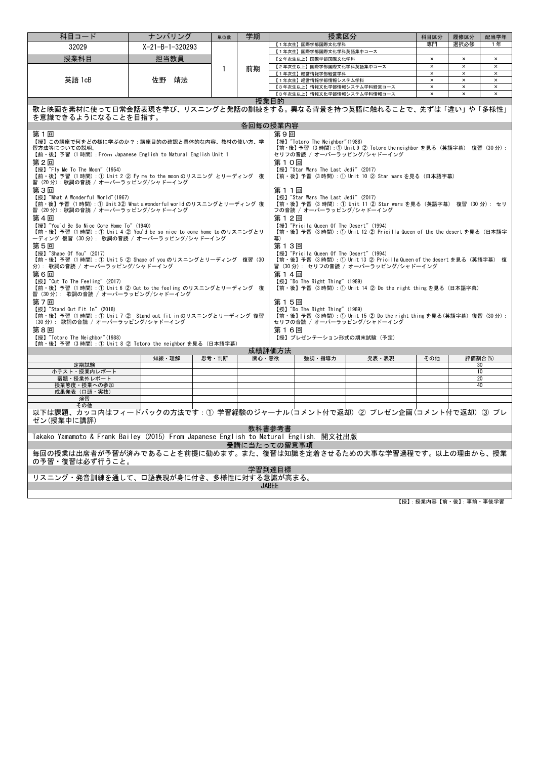| 科目コード                                                                                                                                                                                                                                                                                                                                                                                                                                                                              | ナンバリング                                                                                                                                                                                                                                                                                                        | 単位数   | 学期       |                                | 授業区分                                                      |                                                                                                                                                           | 科目区分                 | 履修区分                       | 配当学年                 |  |
|------------------------------------------------------------------------------------------------------------------------------------------------------------------------------------------------------------------------------------------------------------------------------------------------------------------------------------------------------------------------------------------------------------------------------------------------------------------------------------|---------------------------------------------------------------------------------------------------------------------------------------------------------------------------------------------------------------------------------------------------------------------------------------------------------------|-------|----------|--------------------------------|-----------------------------------------------------------|-----------------------------------------------------------------------------------------------------------------------------------------------------------|----------------------|----------------------------|----------------------|--|
| 32029                                                                                                                                                                                                                                                                                                                                                                                                                                                                              | $X - 21 - B - 1 - 320293$                                                                                                                                                                                                                                                                                     |       |          | 選択必修<br>【1年次生】国際学部国際文化学科<br>専門 |                                                           |                                                                                                                                                           |                      |                            | 1年                   |  |
|                                                                                                                                                                                                                                                                                                                                                                                                                                                                                    |                                                                                                                                                                                                                                                                                                               |       |          |                                | 【1年次生】国際学部国際文化学科英語集中コース                                   |                                                                                                                                                           |                      |                            |                      |  |
| 授業科目                                                                                                                                                                                                                                                                                                                                                                                                                                                                               | 担当教員                                                                                                                                                                                                                                                                                                          |       |          |                                | 【2年次生以上】国際学部国際文化学科                                        |                                                                                                                                                           | $\times$<br>$\times$ | $\times$<br>$\pmb{\times}$ | $\times$<br>$\times$ |  |
|                                                                                                                                                                                                                                                                                                                                                                                                                                                                                    |                                                                                                                                                                                                                                                                                                               | 1     | 前期       |                                | 【2年次生以上】国際学部国際文化学科英語集中コース<br>【1年次生】経営情報学部経営学科             |                                                                                                                                                           | $\times$             | $\pmb{\times}$             | $\times$             |  |
| 英語 1cB                                                                                                                                                                                                                                                                                                                                                                                                                                                                             | 佐野<br>靖法                                                                                                                                                                                                                                                                                                      |       |          |                                | 【1年次生】経営情報学部情報システム学科                                      | $\pmb{\times}$                                                                                                                                            | $\pmb{\times}$       | $\pmb{\times}$             |                      |  |
|                                                                                                                                                                                                                                                                                                                                                                                                                                                                                    |                                                                                                                                                                                                                                                                                                               |       |          |                                | 【3年次生以上】情報文化学部情報システム学科経営コース                               |                                                                                                                                                           | $\times$             | $\times$                   | $\times$             |  |
|                                                                                                                                                                                                                                                                                                                                                                                                                                                                                    |                                                                                                                                                                                                                                                                                                               |       |          |                                |                                                           | 【3年次生以上】情報文化学部情報システム学科情報コース                                                                                                                               | $\times$             | $\times$                   | $\times$             |  |
| 授業目的<br>歌と映画を素材に使って日常会話表現を学び、リスニングと発話の訓練をする。異なる背景を持つ英語に触れることで、先ずは「違い」や「多様性」<br>を意識できるようになることを目指す。                                                                                                                                                                                                                                                                                                                                                                                  |                                                                                                                                                                                                                                                                                                               |       |          |                                |                                                           |                                                                                                                                                           |                      |                            |                      |  |
|                                                                                                                                                                                                                                                                                                                                                                                                                                                                                    |                                                                                                                                                                                                                                                                                                               |       | 各回毎の授業内容 |                                |                                                           |                                                                                                                                                           |                      |                            |                      |  |
| 第9回<br>第1回                                                                                                                                                                                                                                                                                                                                                                                                                                                                         |                                                                                                                                                                                                                                                                                                               |       |          |                                |                                                           |                                                                                                                                                           |                      |                            |                      |  |
| 【授】"Totoro The Neighbor" (1988)<br>【授】この講座で何をどの様に学ぶのか?:講座目的の確認と具体的な内容、教材の使い方、学<br>【前·後】予習 (3時間):1 Unit 9 2 Totoro the neighbor を見る (英語字幕) 復習 (30分):<br>習方法等についての説明。<br>【前·後】予習 (1時間) : From Japanese English to Natural English Unit 1<br>セリフの音読 / オーバーラッピング/シャドーイング<br>第2回<br>第10回<br>【授】"Fly Me To The Moon" (1954)<br>【授】"Star Wars The Last Jedi" (2017)<br>【前・後】予習(1 時間): ① Unit 2 ② Fy me to the moon のリスニング とリーディング 復<br>【前・後】予習 (3 時間) : ① Unit 10 ② Star wars を見る (日本語字幕) |                                                                                                                                                                                                                                                                                                               |       |          |                                |                                                           |                                                                                                                                                           |                      |                            |                      |  |
| 習 (20分):歌詞の音読 / オーバーラッピング/シャドーイング                                                                                                                                                                                                                                                                                                                                                                                                                                                  |                                                                                                                                                                                                                                                                                                               |       |          |                                |                                                           |                                                                                                                                                           |                      |                            |                      |  |
| 第3回<br>第11回<br>【授】"Star Wars The Last Jedi" (2017)<br>【授】"What A Wonderful World"(1967)<br>【前・後】予習(1 時間): ① Unit 3② What a wonderful world のリスニングとリーディング 復<br>【前・後】予習(3 時間): ① Unit 11 ② Star wars を見る(英語字幕) 復習(30 分): セリ<br>習 (20分):歌詞の音読 / オーバーラッピング/シャドーイング<br>フの音読 / オーバーラッピング/シャドーイング                                                                                                                                                                                         |                                                                                                                                                                                                                                                                                                               |       |          |                                |                                                           |                                                                                                                                                           |                      |                            |                      |  |
| 第4回<br>【授】"You'd Be So Nice Come Home To" (1940)<br>【前・後】予習(1 時間): ① Unit 4 ② You'd be so nice to come home to のリスニングとリ<br>ーディング 復習(30 分):歌詞の音読 / オーバーラッピング/シャドーイング                                                                                                                                                                                                                                                                                                                |                                                                                                                                                                                                                                                                                                               |       |          | 第12回<br>墓)                     | 【授】"Pricila Queen Of The Desert" (1994)                   | 【前·後】予習 (3時間) : ① Unit 12 ② Pricilla Queen of the the desert を見る (日本語字                                                                                    |                      |                            |                      |  |
| 【授】"Shape Of You" (2017)<br>第6回<br>【授】"Cut To The Feeling" (2017)                                                                                                                                                                                                                                                                                                                                                                                                                  | 第13回<br>第5回<br>【授】"Pricila Queen Of The Desert" (1994)<br>【前・後】予習(1 時間): ① Unit 5 ② Shape of you のリスニングとリーディング 復習(30<br>【前·後】予習 (3時間):① Unit 13 ② Pricilla Queen of the desert を見る (英語字幕) 復<br>習 (30分): セリフの音読 / オーバーラッピング/シャドーイング<br>分): 歌詞の音読 / オーバーラッピング/シャドーイング<br>第14回<br>【授】"Do The Right Thing" (1989) |       |          |                                |                                                           |                                                                                                                                                           |                      |                            |                      |  |
| 【前・後】予習(1 時間): ① Unit 6 ② Cut to the feeling のリスニングとリーディング 復<br>習(30分):歌詞の音読 / オーバーラッピング/シャドーイング<br>第7回<br>【授】"Stand Out Fit In" (2018)<br>【前・後】予習(1 時間): ① Unit 7 ② Stand out fit in のリスニングとリーディング 復習<br>(30分): 歌詞の音読 / オーバーラッピング/シャドーイング<br>第8回<br>【授】"Totoro The Neighbor" (1988)<br>【前・後】予習(3時間): ① Unit 8 ② Totoro the neighbor を見る(日本語字幕)                                                                                                                                    |                                                                                                                                                                                                                                                                                                               |       |          | 第15回<br>第16回                   | 【授】"Do The Right Thing" (1989)<br>【授】プレゼンテーション形式の期末試験(予定) | 【前・後】予習(3時間): ① Unit 14 ② Do the right thing を見る(日本語字幕)<br>【前·後】予習 (3時間):① Unit 15 ② Do the right thing を見る(英語字幕) 復習 (30分):<br>セリフの音読 / オーバーラッピング/シャドーイング |                      |                            |                      |  |
|                                                                                                                                                                                                                                                                                                                                                                                                                                                                                    | 知識・理解                                                                                                                                                                                                                                                                                                         | 思考·判断 | 関心・意欲    | 成績評価方法                         | 強調・指導力                                                    | 発表・表現                                                                                                                                                     | その他                  | 評価割合(%)                    |                      |  |
| 定期試験                                                                                                                                                                                                                                                                                                                                                                                                                                                                               |                                                                                                                                                                                                                                                                                                               |       |          |                                |                                                           |                                                                                                                                                           |                      |                            | 30                   |  |
| 小テスト・授業内レポート                                                                                                                                                                                                                                                                                                                                                                                                                                                                       |                                                                                                                                                                                                                                                                                                               |       |          |                                |                                                           |                                                                                                                                                           |                      |                            | 10                   |  |
| 宿題・授業外レポート                                                                                                                                                                                                                                                                                                                                                                                                                                                                         |                                                                                                                                                                                                                                                                                                               |       |          |                                |                                                           |                                                                                                                                                           |                      |                            | 20                   |  |
| 授業態度・授業への参加<br>成果発表(口頭・実技)                                                                                                                                                                                                                                                                                                                                                                                                                                                         |                                                                                                                                                                                                                                                                                                               |       |          |                                |                                                           |                                                                                                                                                           |                      |                            | 40                   |  |
| 演習                                                                                                                                                                                                                                                                                                                                                                                                                                                                                 |                                                                                                                                                                                                                                                                                                               |       |          |                                |                                                           |                                                                                                                                                           |                      |                            |                      |  |
| その他<br>以下は課題、カッコ内はフィードバックの方法です:① 学習経験のジャーナル(コメント付で返却)② プレゼン企画(コメント付で返却)③ プレ<br>ゼン(授業中に講評)                                                                                                                                                                                                                                                                                                                                                                                          |                                                                                                                                                                                                                                                                                                               |       |          |                                |                                                           |                                                                                                                                                           |                      |                            |                      |  |
| 教科書参考書                                                                                                                                                                                                                                                                                                                                                                                                                                                                             |                                                                                                                                                                                                                                                                                                               |       |          |                                |                                                           |                                                                                                                                                           |                      |                            |                      |  |
| Takako Yamamoto & Frank Bailey (2015) From Japanese English to Natural English. 開文社出版<br>受講に当たっての留意事項                                                                                                                                                                                                                                                                                                                                                                              |                                                                                                                                                                                                                                                                                                               |       |          |                                |                                                           |                                                                                                                                                           |                      |                            |                      |  |
| 毎回の授業は出席者が予習が済みであることを前提に勧めます。また、復習は知識を定着させるための大事な学習過程です。以上の理由から、授業<br>の予習・復習は必ず行うこと。                                                                                                                                                                                                                                                                                                                                                                                               |                                                                                                                                                                                                                                                                                                               |       |          |                                |                                                           |                                                                                                                                                           |                      |                            |                      |  |
| 学習到達目標                                                                                                                                                                                                                                                                                                                                                                                                                                                                             |                                                                                                                                                                                                                                                                                                               |       |          |                                |                                                           |                                                                                                                                                           |                      |                            |                      |  |
| リスニング・発音訓練を通して、口語表現が身に付き、多様性に対する意識が高まる。                                                                                                                                                                                                                                                                                                                                                                                                                                            |                                                                                                                                                                                                                                                                                                               |       |          | JABEE                          |                                                           |                                                                                                                                                           |                      |                            |                      |  |
|                                                                                                                                                                                                                                                                                                                                                                                                                                                                                    |                                                                                                                                                                                                                                                                                                               |       |          |                                |                                                           |                                                                                                                                                           |                      |                            |                      |  |

【授】:授業内容【前・後】:事前・事後学習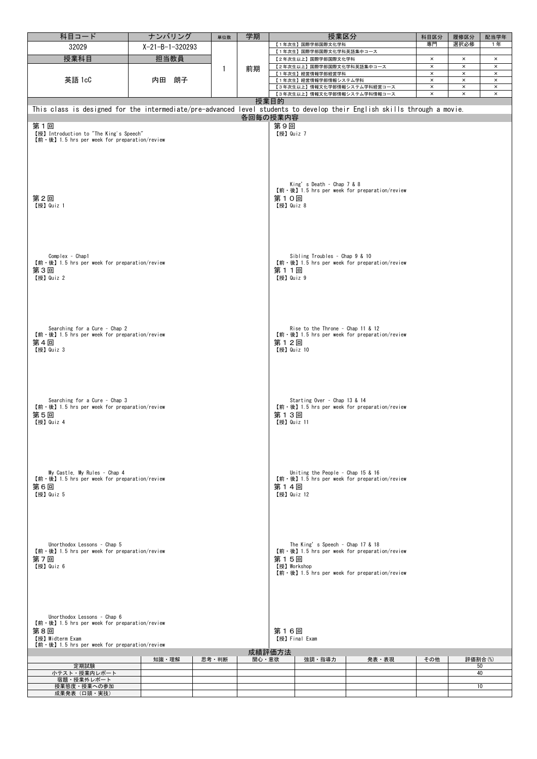| 科目コード                                                                                                                    | ナンバリング            | 単位数   | 学期       |             | 授業区分                              |                                              | 科目区分           | 履修区分                  | 配当学年                      |  |  |  |
|--------------------------------------------------------------------------------------------------------------------------|-------------------|-------|----------|-------------|-----------------------------------|----------------------------------------------|----------------|-----------------------|---------------------------|--|--|--|
| 32029                                                                                                                    | $X-21-B-1-320293$ |       |          |             | 【1年次生】国際学部国際文化学科                  |                                              | 専門             | 選択必修                  | 1年                        |  |  |  |
|                                                                                                                          |                   |       |          |             | 【1年次生】国際学部国際文化学科英語集中コース           |                                              |                |                       |                           |  |  |  |
| 授業科目                                                                                                                     | 担当教員              |       |          |             | 【2年次生以上】国際学部国際文化学科                |                                              | $\times$       | $\boldsymbol{\times}$ | $\boldsymbol{\mathsf{x}}$ |  |  |  |
|                                                                                                                          | 英語 1cC<br>内田 朗子   |       | 前期       |             | 【2年次生以上】国際学部国際文化学科英語集中コース         |                                              | $\times$       | $\times$              | $\times$                  |  |  |  |
|                                                                                                                          |                   |       |          |             | 【1年次生】経営情報学部経営学科                  | $\times$                                     | $\pmb{\times}$ | $\times$              |                           |  |  |  |
|                                                                                                                          |                   |       |          |             | 【1年次生】経営情報学部情報システム学科              | $\pmb{\times}$                               | $\times$       | $\times$              |                           |  |  |  |
|                                                                                                                          |                   |       |          |             | 【3年次生以上】情報文化学部情報システム学科経営コース       |                                              | $\times$       | $\times$              | $\times$                  |  |  |  |
|                                                                                                                          |                   |       |          |             | 【3年次生以上】情報文化学部情報システム学科情報コース       |                                              | $\times$       | $\times$              | $\pmb{\times}$            |  |  |  |
|                                                                                                                          |                   |       |          | 授業目的        |                                   |                                              |                |                       |                           |  |  |  |
| This class is designed for the intermediate/pre-advanced level students to develop their English skills through a movie. |                   |       |          |             |                                   |                                              |                |                       |                           |  |  |  |
|                                                                                                                          |                   |       | 各回毎の授業内容 |             |                                   |                                              |                |                       |                           |  |  |  |
| 第1回                                                                                                                      |                   |       |          | 第9回         |                                   |                                              |                |                       |                           |  |  |  |
| 【授】 Introduction to "The King's Speech"                                                                                  |                   |       |          | 【授】 Quiz 7  |                                   |                                              |                |                       |                           |  |  |  |
| $[\hat{\mathfrak{m}} \cdot \hat{\mathfrak{G}}]$ 1.5 hrs per week for preparation/review                                  |                   |       |          |             |                                   |                                              |                |                       |                           |  |  |  |
|                                                                                                                          |                   |       |          |             |                                   |                                              |                |                       |                           |  |  |  |
|                                                                                                                          |                   |       |          |             |                                   |                                              |                |                       |                           |  |  |  |
|                                                                                                                          |                   |       |          |             |                                   |                                              |                |                       |                           |  |  |  |
|                                                                                                                          |                   |       |          |             |                                   |                                              |                |                       |                           |  |  |  |
|                                                                                                                          |                   |       |          |             |                                   |                                              |                |                       |                           |  |  |  |
|                                                                                                                          |                   |       |          |             | King's Death - Chap 7 & 8         |                                              |                |                       |                           |  |  |  |
|                                                                                                                          |                   |       |          |             |                                   | 【前·後】1.5 hrs per week for preparation/review |                |                       |                           |  |  |  |
| 第2回                                                                                                                      |                   |       |          | 第10回        |                                   |                                              |                |                       |                           |  |  |  |
| 【授】Quiz 1                                                                                                                |                   |       |          | 【授】Quiz 8   |                                   |                                              |                |                       |                           |  |  |  |
|                                                                                                                          |                   |       |          |             |                                   |                                              |                |                       |                           |  |  |  |
|                                                                                                                          |                   |       |          |             |                                   |                                              |                |                       |                           |  |  |  |
|                                                                                                                          |                   |       |          |             |                                   |                                              |                |                       |                           |  |  |  |
|                                                                                                                          |                   |       |          |             |                                   |                                              |                |                       |                           |  |  |  |
|                                                                                                                          |                   |       |          |             |                                   |                                              |                |                       |                           |  |  |  |
|                                                                                                                          |                   |       |          |             |                                   |                                              |                |                       |                           |  |  |  |
| Complex - Chap1                                                                                                          |                   |       |          |             | Sibling Troubles - Chap 9 & 10    |                                              |                |                       |                           |  |  |  |
| 【前 · 後】1.5 hrs per week for preparation/review                                                                           |                   |       |          |             |                                   | 【前·後】1.5 hrs per week for preparation/review |                |                       |                           |  |  |  |
| 第3回                                                                                                                      |                   |       |          | 第11回        |                                   |                                              |                |                       |                           |  |  |  |
| 【授】 Quiz 2                                                                                                               |                   |       |          | 【授】 Quiz 9  |                                   |                                              |                |                       |                           |  |  |  |
|                                                                                                                          |                   |       |          |             |                                   |                                              |                |                       |                           |  |  |  |
|                                                                                                                          |                   |       |          |             |                                   |                                              |                |                       |                           |  |  |  |
|                                                                                                                          |                   |       |          |             |                                   |                                              |                |                       |                           |  |  |  |
|                                                                                                                          |                   |       |          |             |                                   |                                              |                |                       |                           |  |  |  |
|                                                                                                                          |                   |       |          |             |                                   |                                              |                |                       |                           |  |  |  |
|                                                                                                                          |                   |       |          |             |                                   |                                              |                |                       |                           |  |  |  |
| Searching for a Cure - Chap 2                                                                                            |                   |       |          |             | Rise to the Throne - Chap 11 & 12 |                                              |                |                       |                           |  |  |  |
| 【前 · 後】1.5 hrs per week for preparation/review                                                                           |                   |       |          |             |                                   | 【前·後】1.5 hrs per week for preparation/review |                |                       |                           |  |  |  |
| 第4回                                                                                                                      |                   |       |          | 第12回        |                                   |                                              |                |                       |                           |  |  |  |
| 【授】Quiz 3                                                                                                                |                   |       |          | 【授】 Quiz 10 |                                   |                                              |                |                       |                           |  |  |  |
|                                                                                                                          |                   |       |          |             |                                   |                                              |                |                       |                           |  |  |  |
|                                                                                                                          |                   |       |          |             |                                   |                                              |                |                       |                           |  |  |  |
|                                                                                                                          |                   |       |          |             |                                   |                                              |                |                       |                           |  |  |  |
|                                                                                                                          |                   |       |          |             |                                   |                                              |                |                       |                           |  |  |  |
|                                                                                                                          |                   |       |          |             |                                   |                                              |                |                       |                           |  |  |  |
|                                                                                                                          |                   |       |          |             |                                   |                                              |                |                       |                           |  |  |  |
| Searching for a Cure - Chap 3                                                                                            |                   |       |          |             | Starting Over - Chap 13 & 14      |                                              |                |                       |                           |  |  |  |
| 【前·後】1.5 hrs per week for preparation/review                                                                             |                   |       |          |             |                                   | 【前·後】1.5 hrs per week for preparation/review |                |                       |                           |  |  |  |
| 第5回                                                                                                                      |                   |       |          | 第13回        |                                   |                                              |                |                       |                           |  |  |  |
| 【授】 Quiz 4                                                                                                               |                   |       |          | 【授】Quiz 11  |                                   |                                              |                |                       |                           |  |  |  |
|                                                                                                                          |                   |       |          |             |                                   |                                              |                |                       |                           |  |  |  |
|                                                                                                                          |                   |       |          |             |                                   |                                              |                |                       |                           |  |  |  |
|                                                                                                                          |                   |       |          |             |                                   |                                              |                |                       |                           |  |  |  |
|                                                                                                                          |                   |       |          |             |                                   |                                              |                |                       |                           |  |  |  |
|                                                                                                                          |                   |       |          |             |                                   |                                              |                |                       |                           |  |  |  |
|                                                                                                                          |                   |       |          |             |                                   |                                              |                |                       |                           |  |  |  |
| My Castle, My Rules - Chap 4                                                                                             |                   |       |          |             | Uniting the People - Chap 15 & 16 |                                              |                |                       |                           |  |  |  |
| 【前·後】1.5 hrs per week for preparation/review                                                                             |                   |       |          |             |                                   | 【前·後】1.5 hrs per week for preparation/review |                |                       |                           |  |  |  |
| 第6回                                                                                                                      |                   |       |          | 第14回        |                                   |                                              |                |                       |                           |  |  |  |
| 【授】Quiz 5                                                                                                                |                   |       |          | 【授】Quiz 12  |                                   |                                              |                |                       |                           |  |  |  |
|                                                                                                                          |                   |       |          |             |                                   |                                              |                |                       |                           |  |  |  |
|                                                                                                                          |                   |       |          |             |                                   |                                              |                |                       |                           |  |  |  |
|                                                                                                                          |                   |       |          |             |                                   |                                              |                |                       |                           |  |  |  |
|                                                                                                                          |                   |       |          |             |                                   |                                              |                |                       |                           |  |  |  |
|                                                                                                                          |                   |       |          |             |                                   |                                              |                |                       |                           |  |  |  |
|                                                                                                                          |                   |       |          |             |                                   |                                              |                |                       |                           |  |  |  |
| Unorthodox Lessons - Chap 5                                                                                              |                   |       |          |             | The King's Speech - Chap 17 & 18  |                                              |                |                       |                           |  |  |  |
| $[\hat{\mathfrak{m}} \cdot \hat{\mathfrak{G}}]$ 1.5 hrs per week for preparation/review                                  |                   |       |          |             |                                   | 【前·後】1.5 hrs per week for preparation/review |                |                       |                           |  |  |  |
| 第7回                                                                                                                      |                   |       |          | 第15回        |                                   |                                              |                |                       |                           |  |  |  |
| 【授】Quiz 6                                                                                                                |                   |       |          | 【授】Workshop |                                   |                                              |                |                       |                           |  |  |  |
|                                                                                                                          |                   |       |          |             |                                   | 【前·後】1.5 hrs per week for preparation/review |                |                       |                           |  |  |  |
|                                                                                                                          |                   |       |          |             |                                   |                                              |                |                       |                           |  |  |  |
|                                                                                                                          |                   |       |          |             |                                   |                                              |                |                       |                           |  |  |  |
|                                                                                                                          |                   |       |          |             |                                   |                                              |                |                       |                           |  |  |  |
|                                                                                                                          |                   |       |          |             |                                   |                                              |                |                       |                           |  |  |  |
|                                                                                                                          |                   |       |          |             |                                   |                                              |                |                       |                           |  |  |  |
| Unorthodox Lessons - Chap 6                                                                                              |                   |       |          |             |                                   |                                              |                |                       |                           |  |  |  |
| $[\hat{\mathfrak{m}} \cdot \hat{\mathfrak{G}}]$ 1.5 hrs per week for preparation/review                                  |                   |       |          |             |                                   |                                              |                |                       |                           |  |  |  |
| 第8回                                                                                                                      |                   |       |          | 第16回        |                                   |                                              |                |                       |                           |  |  |  |
| 【授】Midterm Exam<br>【授】Final Exam                                                                                         |                   |       |          |             |                                   |                                              |                |                       |                           |  |  |  |
| $[\hat{\mathfrak{m}} \cdot \hat{\mathfrak{G}}]$ 1.5 hrs per week for preparation/review                                  |                   |       |          |             |                                   |                                              |                |                       |                           |  |  |  |
|                                                                                                                          |                   |       | 関心・意欲    | 成績評価方法      |                                   |                                              |                |                       |                           |  |  |  |
| 定期試験                                                                                                                     | 知識・理解             | 思考・判断 |          |             | 強調・指導力                            | 発表・表現                                        | その他            | 評価割合(%)<br>50         |                           |  |  |  |
| 小テスト・授業内レポート                                                                                                             |                   |       |          |             |                                   |                                              |                | 40                    |                           |  |  |  |
| 宿題・授業外レポート                                                                                                               |                   |       |          |             |                                   |                                              |                |                       |                           |  |  |  |
| 授業態度・授業への参加                                                                                                              |                   |       |          |             |                                   |                                              |                | 10                    |                           |  |  |  |
| 成果発表(口頭・実技)                                                                                                              |                   |       |          |             |                                   |                                              |                |                       |                           |  |  |  |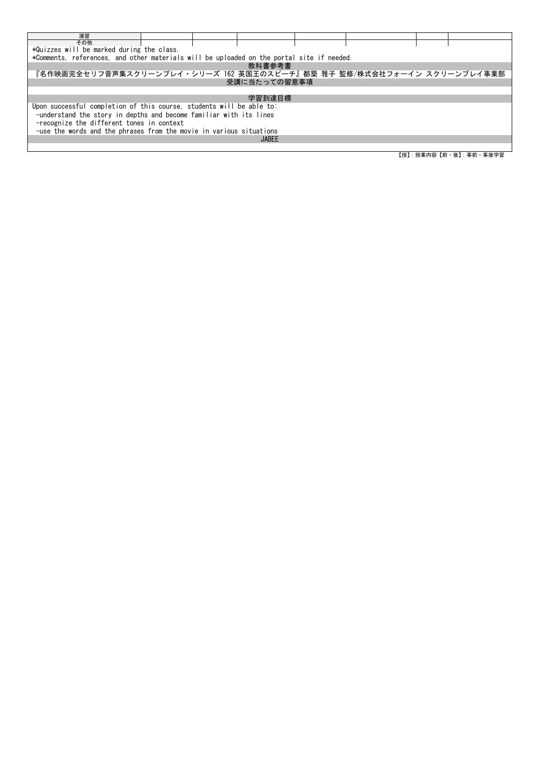| 演習                                                                                        |  |  |              |  |  |  |                         |  |  |  |
|-------------------------------------------------------------------------------------------|--|--|--------------|--|--|--|-------------------------|--|--|--|
| その他                                                                                       |  |  |              |  |  |  |                         |  |  |  |
| *Quizzes will be marked during the class.                                                 |  |  |              |  |  |  |                         |  |  |  |
| *Comments, references, and other materials will be uploaded on the portal site if needed. |  |  |              |  |  |  |                         |  |  |  |
|                                                                                           |  |  | 教科書参考書       |  |  |  |                         |  |  |  |
| 『名作映画完全セリフ音声集スクリーンプレイ・シリーズ 162 英国王のスピーチ』都築 雅子 監修/株式会社フォーイン スクリーンプレイ事業部                    |  |  |              |  |  |  |                         |  |  |  |
|                                                                                           |  |  | 受講に当たっての留意事項 |  |  |  |                         |  |  |  |
|                                                                                           |  |  |              |  |  |  |                         |  |  |  |
|                                                                                           |  |  | 学習到達目標       |  |  |  |                         |  |  |  |
| Upon successful completion of this course, students will be able to:                      |  |  |              |  |  |  |                         |  |  |  |
| -understand the story in depths and become familiar with its lines                        |  |  |              |  |  |  |                         |  |  |  |
| -recognize the different tones in context                                                 |  |  |              |  |  |  |                         |  |  |  |
| -use the words and the phrases from the movie in various situations                       |  |  |              |  |  |  |                         |  |  |  |
| <b>JABEE</b>                                                                              |  |  |              |  |  |  |                         |  |  |  |
|                                                                                           |  |  |              |  |  |  |                         |  |  |  |
|                                                                                           |  |  |              |  |  |  | 【授】: 授業内容【前・後】: 事前・事後学習 |  |  |  |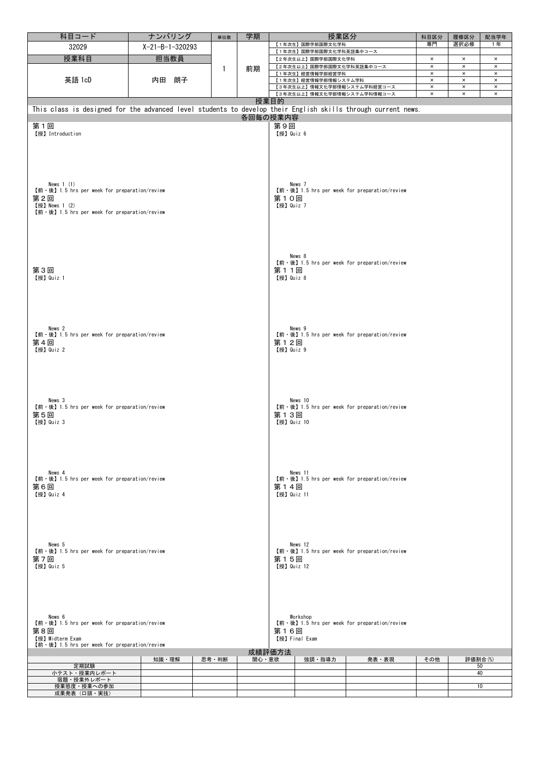| 科目コード                                                                                                        | ナンバリング          | 単位数   | 学期       |                    | 授業区分                                          |                                                | 科目区分                 | 履修区分                       | 配当学年                             |  |  |  |
|--------------------------------------------------------------------------------------------------------------|-----------------|-------|----------|--------------------|-----------------------------------------------|------------------------------------------------|----------------------|----------------------------|----------------------------------|--|--|--|
| 32029                                                                                                        | X-21-B-1-320293 |       |          |                    | 【1年次生】国際学部国際文化学科                              |                                                | 専門                   | 選択必修                       | 1年                               |  |  |  |
|                                                                                                              |                 |       |          |                    | 【1年次生】国際学部国際文化学科英語集中コース                       |                                                |                      |                            |                                  |  |  |  |
| 授業科目                                                                                                         | 担当教員            |       |          |                    | 【2年次生以上】国際学部国際文化学科                            |                                                | $\times$             | $\boldsymbol{\times}$      | $\times$                         |  |  |  |
|                                                                                                              |                 | 1     | 前期       |                    | 【2年次生以上】国際学部国際文化学科英語集中コース<br>【1年次生】経営情報学部経営学科 |                                                | $\times$<br>$\times$ | $\times$<br>$\pmb{\times}$ | $\pmb{\times}$<br>$\pmb{\times}$ |  |  |  |
| 英語 1cD                                                                                                       | 内田 朗子           |       |          |                    | 【1年次生】経営情報学部情報システム学科                          |                                                | $\times$             | $\pmb{\times}$             | $\pmb{\times}$                   |  |  |  |
|                                                                                                              |                 |       |          |                    | 【3年次生以上】情報文化学部情報システム学科経営コース                   |                                                | $\pmb{\times}$       | $\times$                   | $\times$                         |  |  |  |
|                                                                                                              |                 |       |          |                    | 【3年次生以上】情報文化学部情報システム学科情報コース                   |                                                | $\pmb{\times}$       | $\pmb{\times}$             | $\pmb{\times}$                   |  |  |  |
|                                                                                                              |                 |       |          | 授業目的               |                                               |                                                |                      |                            |                                  |  |  |  |
| This class is designed for the advanced level students to develop their English skills through current news. |                 |       |          |                    |                                               |                                                |                      |                            |                                  |  |  |  |
|                                                                                                              |                 |       | 各回毎の授業内容 |                    |                                               |                                                |                      |                            |                                  |  |  |  |
| 第1回                                                                                                          |                 |       |          | 第9回                |                                               |                                                |                      |                            |                                  |  |  |  |
| 【授】 Introduction                                                                                             |                 |       |          | 【授】 Quiz 6         |                                               |                                                |                      |                            |                                  |  |  |  |
|                                                                                                              |                 |       |          |                    |                                               |                                                |                      |                            |                                  |  |  |  |
|                                                                                                              |                 |       |          |                    |                                               |                                                |                      |                            |                                  |  |  |  |
|                                                                                                              |                 |       |          |                    |                                               |                                                |                      |                            |                                  |  |  |  |
|                                                                                                              |                 |       |          |                    |                                               |                                                |                      |                            |                                  |  |  |  |
|                                                                                                              |                 |       |          |                    |                                               |                                                |                      |                            |                                  |  |  |  |
| News $1(1)$                                                                                                  |                 |       |          |                    | News 7                                        |                                                |                      |                            |                                  |  |  |  |
| 【前·後】1.5 hrs per week for preparation/review                                                                 |                 |       |          |                    |                                               | 【前·後】1.5 hrs per week for preparation/review   |                      |                            |                                  |  |  |  |
| 第2回                                                                                                          |                 |       |          | 第10回               |                                               |                                                |                      |                            |                                  |  |  |  |
| 【授】News 1 (2)<br>【前 · 後】1.5 hrs per week for preparation/review                                              |                 |       |          | 【授】Quiz 7          |                                               |                                                |                      |                            |                                  |  |  |  |
|                                                                                                              |                 |       |          |                    |                                               |                                                |                      |                            |                                  |  |  |  |
|                                                                                                              |                 |       |          |                    |                                               |                                                |                      |                            |                                  |  |  |  |
|                                                                                                              |                 |       |          |                    |                                               |                                                |                      |                            |                                  |  |  |  |
|                                                                                                              |                 |       |          |                    |                                               |                                                |                      |                            |                                  |  |  |  |
|                                                                                                              |                 |       |          |                    |                                               |                                                |                      |                            |                                  |  |  |  |
|                                                                                                              |                 |       |          |                    | News 8                                        |                                                |                      |                            |                                  |  |  |  |
| 第3回                                                                                                          |                 |       |          |                    |                                               | 【前 · 後】1.5 hrs per week for preparation/review |                      |                            |                                  |  |  |  |
| 【授】 Quiz 1                                                                                                   |                 |       |          | 第11回<br>【授】Quiz 8  |                                               |                                                |                      |                            |                                  |  |  |  |
|                                                                                                              |                 |       |          |                    |                                               |                                                |                      |                            |                                  |  |  |  |
|                                                                                                              |                 |       |          |                    |                                               |                                                |                      |                            |                                  |  |  |  |
|                                                                                                              |                 |       |          |                    |                                               |                                                |                      |                            |                                  |  |  |  |
|                                                                                                              |                 |       |          |                    |                                               |                                                |                      |                            |                                  |  |  |  |
|                                                                                                              |                 |       |          |                    |                                               |                                                |                      |                            |                                  |  |  |  |
|                                                                                                              |                 |       |          |                    |                                               |                                                |                      |                            |                                  |  |  |  |
| News 2<br>$[\hat{\mathfrak{m}} \cdot \hat{\mathfrak{G}}]$ 1.5 hrs per week for preparation/review            |                 |       |          |                    | News 9                                        | 【前·後】1.5 hrs per week for preparation/review   |                      |                            |                                  |  |  |  |
| 第4回                                                                                                          |                 |       |          | 第12回               |                                               |                                                |                      |                            |                                  |  |  |  |
| 【授】Quiz 2                                                                                                    |                 |       |          | 【授】 Quiz 9         |                                               |                                                |                      |                            |                                  |  |  |  |
|                                                                                                              |                 |       |          |                    |                                               |                                                |                      |                            |                                  |  |  |  |
|                                                                                                              |                 |       |          |                    |                                               |                                                |                      |                            |                                  |  |  |  |
|                                                                                                              |                 |       |          |                    |                                               |                                                |                      |                            |                                  |  |  |  |
|                                                                                                              |                 |       |          |                    |                                               |                                                |                      |                            |                                  |  |  |  |
|                                                                                                              |                 |       |          |                    |                                               |                                                |                      |                            |                                  |  |  |  |
| News 3                                                                                                       |                 |       |          |                    | News 10                                       |                                                |                      |                            |                                  |  |  |  |
| 【前·後】1.5 hrs per week for preparation/review                                                                 |                 |       |          |                    |                                               | 【前·後】1.5 hrs per week for preparation/review   |                      |                            |                                  |  |  |  |
| 第5回                                                                                                          |                 |       | 第13回     |                    |                                               |                                                |                      |                            |                                  |  |  |  |
| 【授】Quiz 3                                                                                                    |                 |       |          | 【授】Quiz 10         |                                               |                                                |                      |                            |                                  |  |  |  |
|                                                                                                              |                 |       |          |                    |                                               |                                                |                      |                            |                                  |  |  |  |
|                                                                                                              |                 |       |          |                    |                                               |                                                |                      |                            |                                  |  |  |  |
|                                                                                                              |                 |       |          |                    |                                               |                                                |                      |                            |                                  |  |  |  |
|                                                                                                              |                 |       |          |                    |                                               |                                                |                      |                            |                                  |  |  |  |
|                                                                                                              |                 |       |          |                    |                                               |                                                |                      |                            |                                  |  |  |  |
| News 4                                                                                                       |                 |       |          |                    | News 11                                       |                                                |                      |                            |                                  |  |  |  |
| $[\hat{\mathfrak{m}} \cdot \hat{\mathfrak{G}}]$ 1.5 hrs per week for preparation/review                      |                 |       |          |                    |                                               | 【前·後】1.5 hrs per week for preparation/review   |                      |                            |                                  |  |  |  |
| 第6回<br>【授】Quiz 4                                                                                             |                 |       |          | 第14回<br>【授】Quiz 11 |                                               |                                                |                      |                            |                                  |  |  |  |
|                                                                                                              |                 |       |          |                    |                                               |                                                |                      |                            |                                  |  |  |  |
|                                                                                                              |                 |       |          |                    |                                               |                                                |                      |                            |                                  |  |  |  |
|                                                                                                              |                 |       |          |                    |                                               |                                                |                      |                            |                                  |  |  |  |
|                                                                                                              |                 |       |          |                    |                                               |                                                |                      |                            |                                  |  |  |  |
|                                                                                                              |                 |       |          |                    |                                               |                                                |                      |                            |                                  |  |  |  |
| News 5                                                                                                       |                 |       |          |                    | News 12                                       |                                                |                      |                            |                                  |  |  |  |
| $[\hat{\mathfrak{m}} \cdot \hat{\mathfrak{G}}]$ 1.5 hrs per week for preparation/review                      |                 |       |          |                    |                                               | 【前·後】1.5 hrs per week for preparation/review   |                      |                            |                                  |  |  |  |
| 第7回                                                                                                          |                 |       |          | 第15回               |                                               |                                                |                      |                            |                                  |  |  |  |
| 【授】Quiz 5                                                                                                    |                 |       |          | 【授】Quiz 12         |                                               |                                                |                      |                            |                                  |  |  |  |
|                                                                                                              |                 |       |          |                    |                                               |                                                |                      |                            |                                  |  |  |  |
|                                                                                                              |                 |       |          |                    |                                               |                                                |                      |                            |                                  |  |  |  |
|                                                                                                              |                 |       |          |                    |                                               |                                                |                      |                            |                                  |  |  |  |
|                                                                                                              |                 |       |          |                    |                                               |                                                |                      |                            |                                  |  |  |  |
|                                                                                                              |                 |       |          |                    |                                               |                                                |                      |                            |                                  |  |  |  |
| News 6                                                                                                       |                 |       |          |                    | Workshop                                      |                                                |                      |                            |                                  |  |  |  |
| $[\hat{\mathfrak{m}} \cdot \hat{\mathfrak{G}}]$ 1.5 hrs per week for preparation/review                      |                 |       |          |                    |                                               | 【前·後】1.5 hrs per week for preparation/review   |                      |                            |                                  |  |  |  |
| 第16回<br>第8回                                                                                                  |                 |       |          |                    |                                               |                                                |                      |                            |                                  |  |  |  |
| 【授】Midterm Exam                                                                                              |                 |       |          |                    | 【授】Final Exam                                 |                                                |                      |                            |                                  |  |  |  |
| 【前 · 後】1.5 hrs per week for preparation/review                                                               |                 |       |          | 成績評価方法             |                                               |                                                |                      |                            |                                  |  |  |  |
|                                                                                                              | 知識・理解           | 思考・判断 | 関心・意欲    |                    | 強調・指導力                                        | 発表・表現                                          | その他                  | 評価割合(%)                    |                                  |  |  |  |
| 定期試験                                                                                                         |                 |       |          |                    |                                               |                                                |                      |                            | 50                               |  |  |  |
| 小テスト・授業内レポート                                                                                                 |                 |       |          |                    |                                               |                                                |                      |                            | 40                               |  |  |  |
| 宿題・授業外レポート<br>授業態度・授業への参加                                                                                    |                 |       |          |                    |                                               |                                                |                      |                            | 10                               |  |  |  |
| 成果発表(口頭・実技)                                                                                                  |                 |       |          |                    |                                               |                                                |                      |                            |                                  |  |  |  |